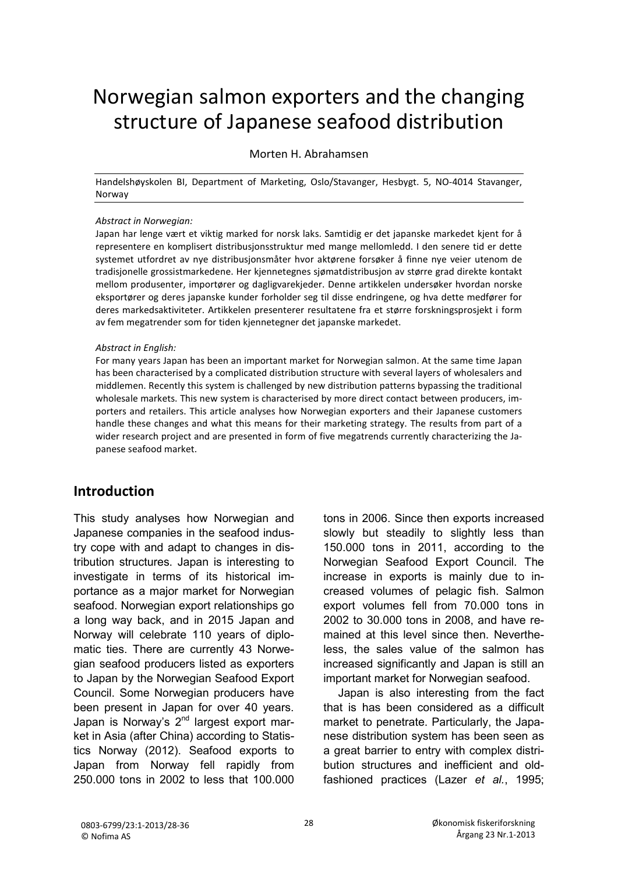# Norwegian salmon exporters and the changing structure of Japanese seafood distribution

#### Morten H. Abrahamsen

Handelshøyskolen BI, Department of Marketing, Oslo/Stavanger, Hesbygt. 5, NO-4014 Stavanger, Norway

#### *Abstract in Norwegian:*

Japan har lenge vært et viktig marked for norsk laks. Samtidig er det japanske markedet kjent for å representere en komplisert distribusjonsstruktur med mange mellomledd. I den senere tid er dette systemet utfordret av nye distribusjonsmåter hvor aktørene forsøker å finne nye veier utenom de tradisjonelle grossistmarkedene. Her kjennetegnes sjømatdistribusjon av større grad direkte kontakt mellom produsenter, importører og dagligvarekjeder. Denne artikkelen undersøker hvordan norske eksportører og deres japanske kunder forholder seg til disse endringene, og hva dette medfører for deres markedsaktiviteter. Artikkelen presenterer resultatene fra et større forskningsprosjekt i form av fem megatrender som for tiden kjennetegner det japanske markedet.

#### *Abstract in English:*

For many years Japan has been an important market for Norwegian salmon. At the same time Japan has been characterised by a complicated distribution structure with several layers of wholesalers and middlemen. Recently this system is challenged by new distribution patterns bypassing the traditional wholesale markets. This new system is characterised by more direct contact between producers, importers and retailers. This article analyses how Norwegian exporters and their Japanese customers handle these changes and what this means for their marketing strategy. The results from part of a wider research project and are presented in form of five megatrends currently characterizing the Japanese seafood market.

## **Introduction**

This study analyses how Norwegian and Japanese companies in the seafood industry cope with and adapt to changes in distribution structures. Japan is interesting to investigate in terms of its historical importance as a major market for Norwegian seafood. Norwegian export relationships go a long way back, and in 2015 Japan and Norway will celebrate 110 years of diplomatic ties. There are currently 43 Norwegian seafood producers listed as exporters to Japan by the Norwegian Seafood Export Council. Some Norwegian producers have been present in Japan for over 40 years. Japan is Norway's 2<sup>nd</sup> largest export market in Asia (after China) according to Statistics Norway (2012). Seafood exports to Japan from Norway fell rapidly from 250.000 tons in 2002 to less that 100.000 tons in 2006. Since then exports increased slowly but steadily to slightly less than 150.000 tons in 2011, according to the Norwegian Seafood Export Council. The increase in exports is mainly due to increased volumes of pelagic fish. Salmon export volumes fell from 70.000 tons in 2002 to 30.000 tons in 2008, and have remained at this level since then. Nevertheless, the sales value of the salmon has increased significantly and Japan is still an important market for Norwegian seafood.

Japan is also interesting from the fact that is has been considered as a difficult market to penetrate. Particularly, the Japanese distribution system has been seen as a great barrier to entry with complex distribution structures and inefficient and oldfashioned practices (Lazer *et al.*, 1995;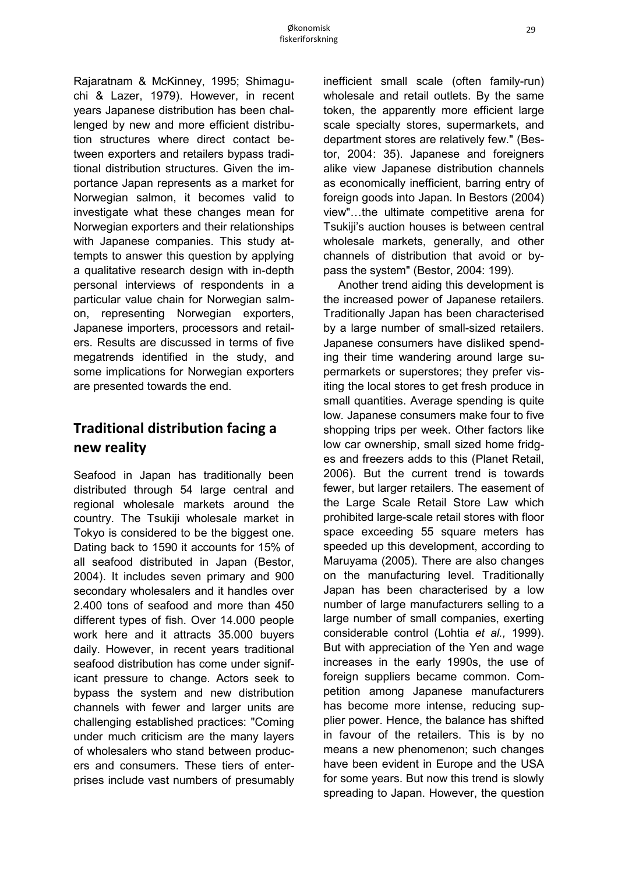Rajaratnam & McKinney, 1995; Shimaguchi & Lazer, 1979). However, in recent years Japanese distribution has been challenged by new and more efficient distribution structures where direct contact between exporters and retailers bypass traditional distribution structures. Given the importance Japan represents as a market for Norwegian salmon, it becomes valid to investigate what these changes mean for Norwegian exporters and their relationships with Japanese companies. This study attempts to answer this question by applying a qualitative research design with in-depth personal interviews of respondents in a particular value chain for Norwegian salmon, representing Norwegian exporters, Japanese importers, processors and retailers. Results are discussed in terms of five megatrends identified in the study, and some implications for Norwegian exporters are presented towards the end.

# **Traditional distribution facing a new reality**

Seafood in Japan has traditionally been distributed through 54 large central and regional wholesale markets around the country. The Tsukiji wholesale market in Tokyo is considered to be the biggest one. Dating back to 1590 it accounts for 15% of all seafood distributed in Japan (Bestor, 2004). It includes seven primary and 900 secondary wholesalers and it handles over 2.400 tons of seafood and more than 450 different types of fish. Over 14.000 people work here and it attracts 35.000 buyers daily. However, in recent years traditional seafood distribution has come under significant pressure to change. Actors seek to bypass the system and new distribution channels with fewer and larger units are challenging established practices: "Coming under much criticism are the many layers of wholesalers who stand between producers and consumers. These tiers of enterprises include vast numbers of presumably inefficient small scale (often family-run) wholesale and retail outlets. By the same token, the apparently more efficient large scale specialty stores, supermarkets, and department stores are relatively few." (Bestor, 2004: 35). Japanese and foreigners alike view Japanese distribution channels as economically inefficient, barring entry of foreign goods into Japan. In Bestors (2004) view"…the ultimate competitive arena for Tsukiji's auction houses is between central wholesale markets, generally, and other channels of distribution that avoid or bypass the system" (Bestor, 2004: 199).

Another trend aiding this development is the increased power of Japanese retailers. Traditionally Japan has been characterised by a large number of small-sized retailers. Japanese consumers have disliked spending their time wandering around large supermarkets or superstores; they prefer visiting the local stores to get fresh produce in small quantities. Average spending is quite low. Japanese consumers make four to five shopping trips per week. Other factors like low car ownership, small sized home fridges and freezers adds to this (Planet Retail, 2006). But the current trend is towards fewer, but larger retailers. The easement of the Large Scale Retail Store Law which prohibited large-scale retail stores with floor space exceeding 55 square meters has speeded up this development, according to Maruyama (2005). There are also changes on the manufacturing level. Traditionally Japan has been characterised by a low number of large manufacturers selling to a large number of small companies, exerting considerable control (Lohtia *et al.,* 1999). But with appreciation of the Yen and wage increases in the early 1990s, the use of foreign suppliers became common. Competition among Japanese manufacturers has become more intense, reducing supplier power. Hence, the balance has shifted in favour of the retailers. This is by no means a new phenomenon; such changes have been evident in Europe and the USA for some years. But now this trend is slowly spreading to Japan. However, the question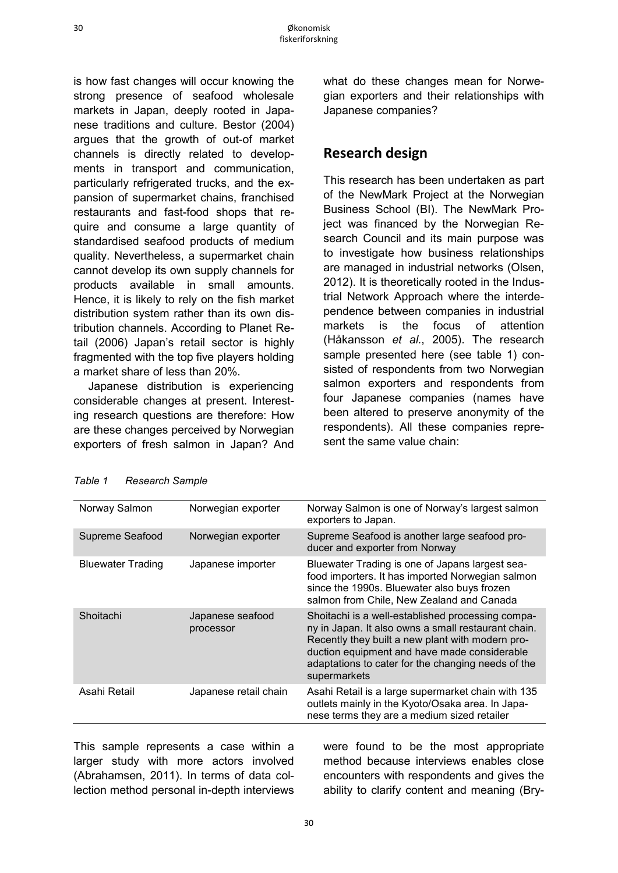is how fast changes will occur knowing the strong presence of seafood wholesale markets in Japan, deeply rooted in Japanese traditions and culture. Bestor (2004) argues that the growth of out-of market channels is directly related to developments in transport and communication, particularly refrigerated trucks, and the expansion of supermarket chains, franchised restaurants and fast-food shops that require and consume a large quantity of standardised seafood products of medium quality. Nevertheless, a supermarket chain cannot develop its own supply channels for products available in small amounts. Hence, it is likely to rely on the fish market distribution system rather than its own distribution channels. According to Planet Retail (2006) Japan's retail sector is highly fragmented with the top five players holding a market share of less than 20%.

Japanese distribution is experiencing considerable changes at present. Interesting research questions are therefore: How are these changes perceived by Norwegian exporters of fresh salmon in Japan? And what do these changes mean for Norwegian exporters and their relationships with Japanese companies?

## **Research design**

This research has been undertaken as part of the NewMark Project at the Norwegian Business School (BI). The NewMark Project was financed by the Norwegian Research Council and its main purpose was to investigate how business relationships are managed in industrial networks (Olsen, 2012). It is theoretically rooted in the Industrial Network Approach where the interdependence between companies in industrial markets is the focus of attention (Håkansson *et al.*, 2005). The research sample presented here (see table 1) consisted of respondents from two Norwegian salmon exporters and respondents from four Japanese companies (names have been altered to preserve anonymity of the respondents). All these companies represent the same value chain:

| Norway Salmon            | Norwegian exporter            | Norway Salmon is one of Norway's largest salmon<br>exporters to Japan.                                                                                                                                                                                                             |
|--------------------------|-------------------------------|------------------------------------------------------------------------------------------------------------------------------------------------------------------------------------------------------------------------------------------------------------------------------------|
| Supreme Seafood          | Norwegian exporter            | Supreme Seafood is another large seafood pro-<br>ducer and exporter from Norway                                                                                                                                                                                                    |
| <b>Bluewater Trading</b> | Japanese importer             | Bluewater Trading is one of Japans largest sea-<br>food importers. It has imported Norwegian salmon<br>since the 1990s. Bluewater also buys frozen<br>salmon from Chile, New Zealand and Canada                                                                                    |
| Shoitachi                | Japanese seafood<br>processor | Shoitachi is a well-established processing compa-<br>ny in Japan. It also owns a small restaurant chain.<br>Recently they built a new plant with modern pro-<br>duction equipment and have made considerable<br>adaptations to cater for the changing needs of the<br>supermarkets |
| Asahi Retail             | Japanese retail chain         | Asahi Retail is a large supermarket chain with 135<br>outlets mainly in the Kyoto/Osaka area. In Japa-<br>nese terms they are a medium sized retailer                                                                                                                              |
|                          |                               |                                                                                                                                                                                                                                                                                    |

| Table 1 | <b>Research Sample</b> |  |
|---------|------------------------|--|
|---------|------------------------|--|

This sample represents a case within a larger study with more actors involved (Abrahamsen, 2011). In terms of data collection method personal in-depth interviews were found to be the most appropriate method because interviews enables close encounters with respondents and gives the ability to clarify content and meaning (Bry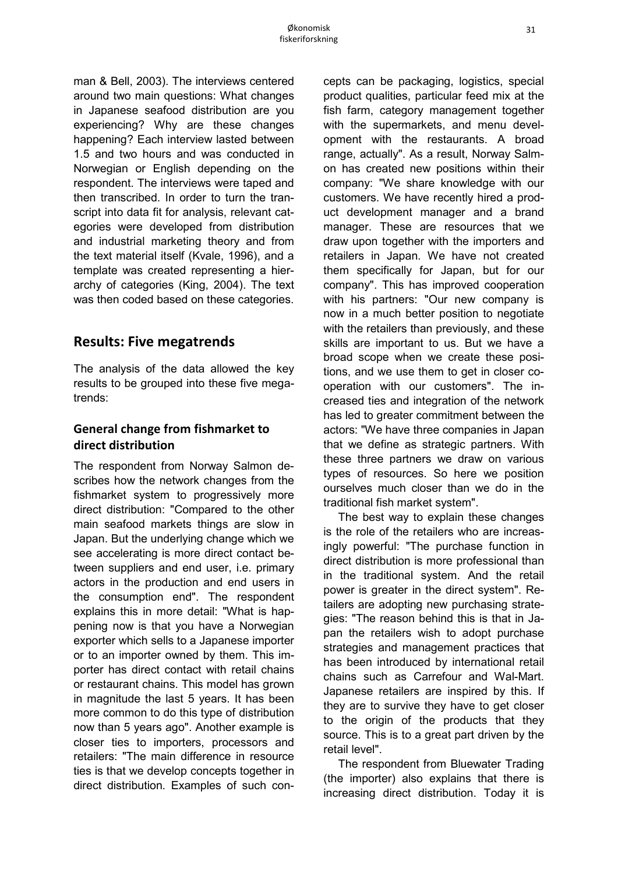man & Bell, 2003). The interviews centered around two main questions: What changes in Japanese seafood distribution are you experiencing? Why are these changes happening? Each interview lasted between 1.5 and two hours and was conducted in Norwegian or English depending on the respondent. The interviews were taped and then transcribed. In order to turn the transcript into data fit for analysis, relevant categories were developed from distribution and industrial marketing theory and from the text material itself (Kvale, 1996), and a template was created representing a hierarchy of categories (King, 2004). The text was then coded based on these categories.

## **Results: Five megatrends**

The analysis of the data allowed the key results to be grouped into these five megatrends:

#### **General change from fishmarket to direct distribution**

The respondent from Norway Salmon describes how the network changes from the fishmarket system to progressively more direct distribution: "Compared to the other main seafood markets things are slow in Japan. But the underlying change which we see accelerating is more direct contact between suppliers and end user, i.e. primary actors in the production and end users in the consumption end". The respondent explains this in more detail: "What is happening now is that you have a Norwegian exporter which sells to a Japanese importer or to an importer owned by them. This importer has direct contact with retail chains or restaurant chains. This model has grown in magnitude the last 5 years. It has been more common to do this type of distribution now than 5 years ago". Another example is closer ties to importers, processors and retailers: "The main difference in resource ties is that we develop concepts together in direct distribution. Examples of such concepts can be packaging, logistics, special product qualities, particular feed mix at the fish farm, category management together with the supermarkets, and menu development with the restaurants. A broad range, actually". As a result, Norway Salmon has created new positions within their company: "We share knowledge with our customers. We have recently hired a product development manager and a brand manager. These are resources that we draw upon together with the importers and retailers in Japan. We have not created them specifically for Japan, but for our company". This has improved cooperation with his partners: "Our new company is now in a much better position to negotiate with the retailers than previously, and these skills are important to us. But we have a broad scope when we create these positions, and we use them to get in closer cooperation with our customers". The increased ties and integration of the network has led to greater commitment between the actors: "We have three companies in Japan that we define as strategic partners. With these three partners we draw on various types of resources. So here we position ourselves much closer than we do in the traditional fish market system".

The best way to explain these changes is the role of the retailers who are increasingly powerful: "The purchase function in direct distribution is more professional than in the traditional system. And the retail power is greater in the direct system". Retailers are adopting new purchasing strategies: "The reason behind this is that in Japan the retailers wish to adopt purchase strategies and management practices that has been introduced by international retail chains such as Carrefour and Wal-Mart. Japanese retailers are inspired by this. If they are to survive they have to get closer to the origin of the products that they source. This is to a great part driven by the retail level".

The respondent from Bluewater Trading (the importer) also explains that there is increasing direct distribution. Today it is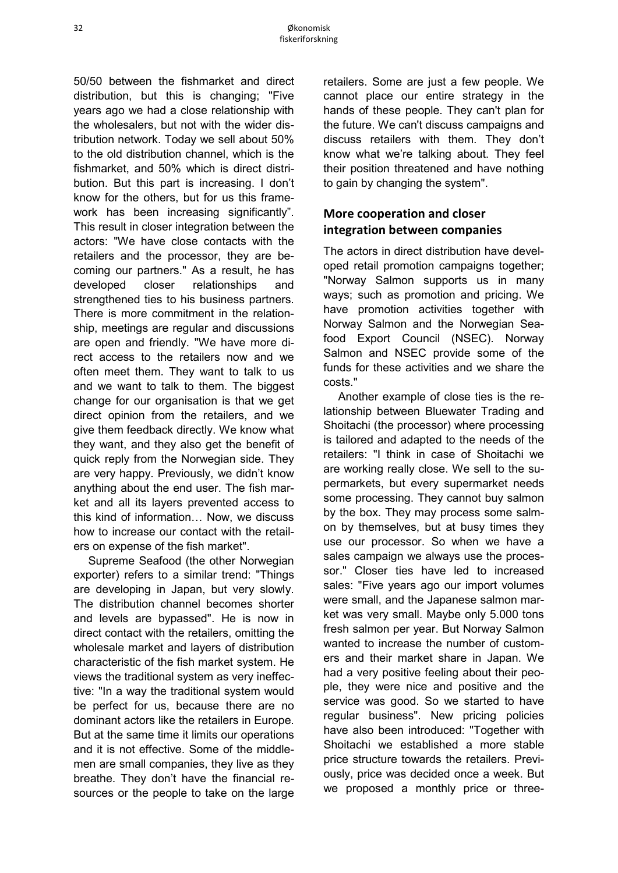50/50 between the fishmarket and direct distribution, but this is changing; "Five years ago we had a close relationship with the wholesalers, but not with the wider distribution network. Today we sell about 50% to the old distribution channel, which is the fishmarket, and 50% which is direct distribution. But this part is increasing. I don't know for the others, but for us this framework has been increasing significantly". This result in closer integration between the actors: "We have close contacts with the retailers and the processor, they are becoming our partners." As a result, he has developed closer relationships and strengthened ties to his business partners. There is more commitment in the relationship, meetings are regular and discussions are open and friendly. "We have more direct access to the retailers now and we often meet them. They want to talk to us and we want to talk to them. The biggest change for our organisation is that we get direct opinion from the retailers, and we give them feedback directly. We know what they want, and they also get the benefit of quick reply from the Norwegian side. They are very happy. Previously, we didn't know anything about the end user. The fish market and all its layers prevented access to this kind of information… Now, we discuss how to increase our contact with the retailers on expense of the fish market".

Supreme Seafood (the other Norwegian exporter) refers to a similar trend: "Things are developing in Japan, but very slowly. The distribution channel becomes shorter and levels are bypassed". He is now in direct contact with the retailers, omitting the wholesale market and layers of distribution characteristic of the fish market system. He views the traditional system as very ineffective: "In a way the traditional system would be perfect for us, because there are no dominant actors like the retailers in Europe. But at the same time it limits our operations and it is not effective. Some of the middlemen are small companies, they live as they breathe. They don't have the financial resources or the people to take on the large retailers. Some are just a few people. We cannot place our entire strategy in the hands of these people. They can't plan for the future. We can't discuss campaigns and discuss retailers with them. They don't know what we're talking about. They feel their position threatened and have nothing to gain by changing the system".

### **More cooperation and closer integration between companies**

The actors in direct distribution have developed retail promotion campaigns together; "Norway Salmon supports us in many ways; such as promotion and pricing. We have promotion activities together with Norway Salmon and the Norwegian Seafood Export Council (NSEC). Norway Salmon and NSEC provide some of the funds for these activities and we share the costs."

Another example of close ties is the relationship between Bluewater Trading and Shoitachi (the processor) where processing is tailored and adapted to the needs of the retailers: "I think in case of Shoitachi we are working really close. We sell to the supermarkets, but every supermarket needs some processing. They cannot buy salmon by the box. They may process some salmon by themselves, but at busy times they use our processor. So when we have a sales campaign we always use the processor." Closer ties have led to increased sales: "Five years ago our import volumes were small, and the Japanese salmon market was very small. Maybe only 5.000 tons fresh salmon per year. But Norway Salmon wanted to increase the number of customers and their market share in Japan. We had a very positive feeling about their people, they were nice and positive and the service was good. So we started to have regular business". New pricing policies have also been introduced: "Together with Shoitachi we established a more stable price structure towards the retailers. Previously, price was decided once a week. But we proposed a monthly price or three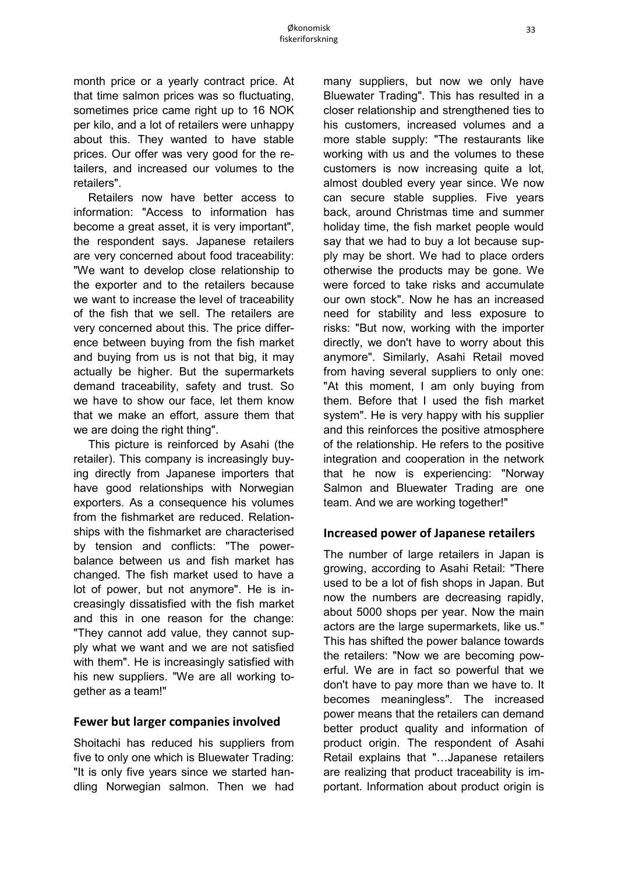month price or a yearly contract price. At that time salmon prices was so fluctuating, sometimes price came right up to 16 NOK per kilo, and a lot of retailers were unhappy about this. They wanted to have stable prices. Our offer was very good for the retailers, and increased our volumes to the retailers".

Retailers now have better access to information: "Access to information has become a great asset, it is very important", the respondent says. Japanese retailers are very concerned about food traceability: "We want to develop close relationship to the exporter and to the retailers because we want to increase the level of traceability of the fish that we sell. The retailers are very concerned about this. The price difference between buying from the fish market and buying from us is not that big, it may actually be higher. But the supermarkets demand traceability, safety and trust. So we have to show our face, let them know that we make an effort, assure them that we are doing the right thing".

This picture is reinforced by Asahi (the retailer). This company is increasingly buying directly from Japanese importers that have good relationships with Norwegian exporters. As a consequence his volumes from the fishmarket are reduced. Relationships with the fishmarket are characterised by tension and conflicts: "The powerbalance between us and fish market has changed. The fish market used to have a lot of power, but not anymore". He is increasingly dissatisfied with the fish market and this in one reason for the change: "They cannot add value, they cannot supply what we want and we are not satisfied with them". He is increasingly satisfied with his new suppliers. "We are all working together as a team!"

#### **Fewer but larger companies involved**

Shoitachi has reduced his suppliers from five to only one which is Bluewater Trading: "It is only five years since we started handling Norwegian salmon. Then we had many suppliers, but now we only have Bluewater Trading". This has resulted in a closer relationship and strengthened ties to his customers, increased volumes and a more stable supply: "The restaurants like working with us and the volumes to these customers is now increasing quite a lot, almost doubled every year since. We now can secure stable supplies. Five years back, around Christmas time and summer holiday time, the fish market people would say that we had to buy a lot because supply may be short. We had to place orders otherwise the products may be gone. We were forced to take risks and accumulate our own stock". Now he has an increased need for stability and less exposure to risks: "But now, working with the importer directly, we don't have to worry about this anymore". Similarly, Asahi Retail moved from having several suppliers to only one: "At this moment, I am only buying from them. Before that I used the fish market system". He is very happy with his supplier and this reinforces the positive atmosphere of the relationship. He refers to the positive integration and cooperation in the network that he now is experiencing: "Norway Salmon and Bluewater Trading are one team. And we are working together!"

#### **Increased power of Japanese retailers**

The number of large retailers in Japan is growing, according to Asahi Retail: "There used to be a lot of fish shops in Japan. But now the numbers are decreasing rapidly, about 5000 shops per year. Now the main actors are the large supermarkets, like us." This has shifted the power balance towards the retailers: "Now we are becoming powerful. We are in fact so powerful that we don't have to pay more than we have to. It becomes meaningless". The increased power means that the retailers can demand better product quality and information of product origin. The respondent of Asahi Retail explains that "…Japanese retailers are realizing that product traceability is important. Information about product origin is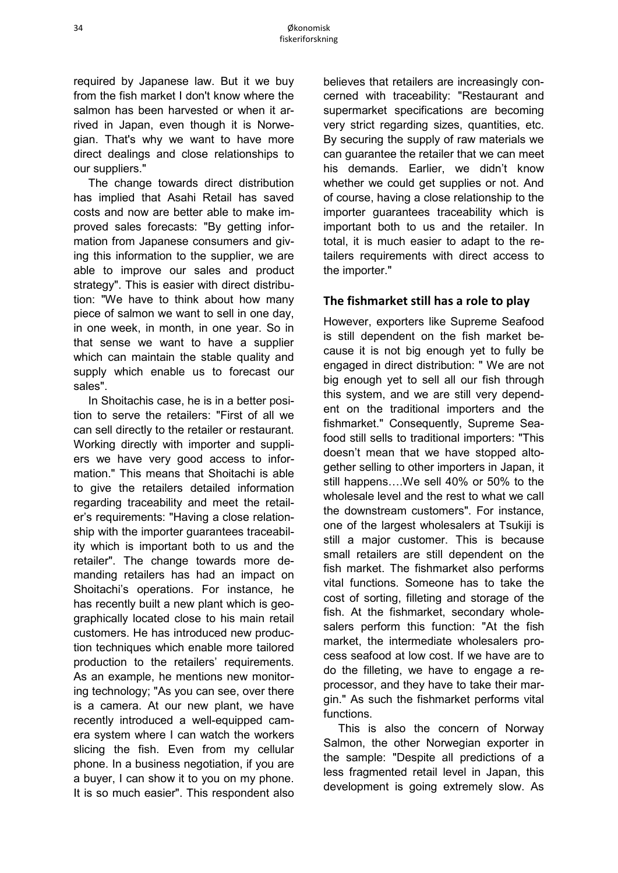required by Japanese law. But it we buy from the fish market I don't know where the salmon has been harvested or when it arrived in Japan, even though it is Norwegian. That's why we want to have more direct dealings and close relationships to our suppliers."

The change towards direct distribution has implied that Asahi Retail has saved costs and now are better able to make improved sales forecasts: "By getting information from Japanese consumers and giving this information to the supplier, we are able to improve our sales and product strategy". This is easier with direct distribution: "We have to think about how many piece of salmon we want to sell in one day, in one week, in month, in one year. So in that sense we want to have a supplier which can maintain the stable quality and supply which enable us to forecast our sales".

In Shoitachis case, he is in a better position to serve the retailers: "First of all we can sell directly to the retailer or restaurant. Working directly with importer and suppliers we have very good access to information." This means that Shoitachi is able to give the retailers detailed information regarding traceability and meet the retailer's requirements: "Having a close relationship with the importer guarantees traceability which is important both to us and the retailer". The change towards more demanding retailers has had an impact on Shoitachi's operations. For instance, he has recently built a new plant which is geographically located close to his main retail customers. He has introduced new production techniques which enable more tailored production to the retailers' requirements. As an example, he mentions new monitoring technology; "As you can see, over there is a camera. At our new plant, we have recently introduced a well-equipped camera system where I can watch the workers slicing the fish. Even from my cellular phone. In a business negotiation, if you are a buyer, I can show it to you on my phone. It is so much easier". This respondent also believes that retailers are increasingly concerned with traceability: "Restaurant and supermarket specifications are becoming very strict regarding sizes, quantities, etc. By securing the supply of raw materials we can guarantee the retailer that we can meet his demands. Earlier, we didn't know whether we could get supplies or not. And of course, having a close relationship to the importer guarantees traceability which is important both to us and the retailer. In total, it is much easier to adapt to the retailers requirements with direct access to the importer."

#### **The fishmarket still has a role to play**

However, exporters like Supreme Seafood is still dependent on the fish market because it is not big enough yet to fully be engaged in direct distribution: " We are not big enough yet to sell all our fish through this system, and we are still very dependent on the traditional importers and the fishmarket." Consequently, Supreme Seafood still sells to traditional importers: "This doesn't mean that we have stopped altogether selling to other importers in Japan, it still happens….We sell 40% or 50% to the wholesale level and the rest to what we call the downstream customers". For instance, one of the largest wholesalers at Tsukiji is still a major customer. This is because small retailers are still dependent on the fish market. The fishmarket also performs vital functions. Someone has to take the cost of sorting, filleting and storage of the fish. At the fishmarket, secondary wholesalers perform this function: "At the fish market, the intermediate wholesalers process seafood at low cost. If we have are to do the filleting, we have to engage a reprocessor, and they have to take their margin." As such the fishmarket performs vital functions.

This is also the concern of Norway Salmon, the other Norwegian exporter in the sample: "Despite all predictions of a less fragmented retail level in Japan, this development is going extremely slow. As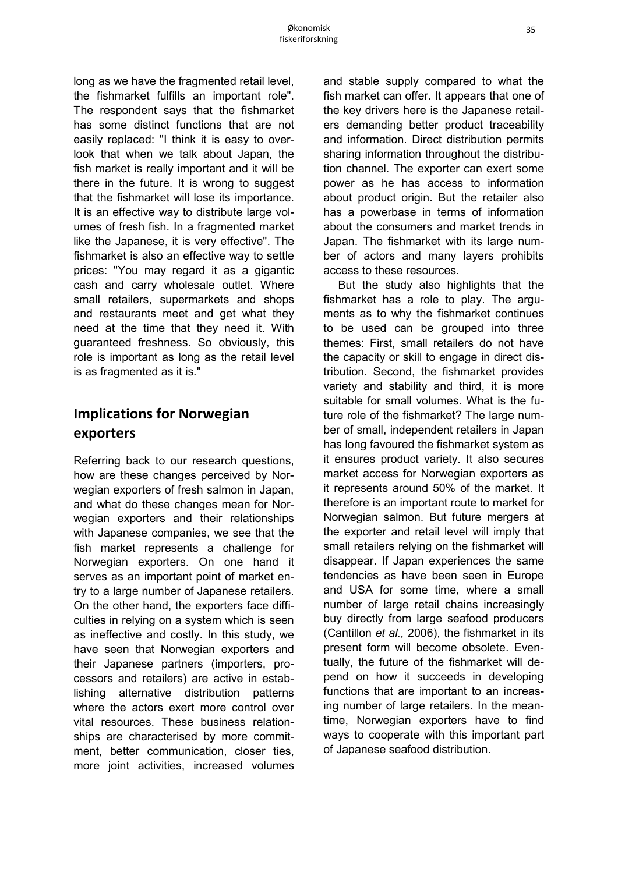long as we have the fragmented retail level, the fishmarket fulfills an important role". The respondent says that the fishmarket has some distinct functions that are not easily replaced: "I think it is easy to overlook that when we talk about Japan, the fish market is really important and it will be there in the future. It is wrong to suggest that the fishmarket will lose its importance. It is an effective way to distribute large volumes of fresh fish. In a fragmented market like the Japanese, it is very effective". The fishmarket is also an effective way to settle prices: "You may regard it as a gigantic cash and carry wholesale outlet. Where small retailers, supermarkets and shops and restaurants meet and get what they need at the time that they need it. With guaranteed freshness. So obviously, this role is important as long as the retail level is as fragmented as it is."

# **Implications for Norwegian exporters**

Referring back to our research questions, how are these changes perceived by Norwegian exporters of fresh salmon in Japan, and what do these changes mean for Norwegian exporters and their relationships with Japanese companies, we see that the fish market represents a challenge for Norwegian exporters. On one hand it serves as an important point of market entry to a large number of Japanese retailers. On the other hand, the exporters face difficulties in relying on a system which is seen as ineffective and costly. In this study, we have seen that Norwegian exporters and their Japanese partners (importers, processors and retailers) are active in establishing alternative distribution patterns where the actors exert more control over vital resources. These business relationships are characterised by more commitment, better communication, closer ties, more joint activities, increased volumes and stable supply compared to what the fish market can offer. It appears that one of the key drivers here is the Japanese retailers demanding better product traceability and information. Direct distribution permits sharing information throughout the distribution channel. The exporter can exert some power as he has access to information about product origin. But the retailer also has a powerbase in terms of information about the consumers and market trends in Japan. The fishmarket with its large number of actors and many layers prohibits access to these resources.

But the study also highlights that the fishmarket has a role to play. The arguments as to why the fishmarket continues to be used can be grouped into three themes: First, small retailers do not have the capacity or skill to engage in direct distribution. Second, the fishmarket provides variety and stability and third, it is more suitable for small volumes. What is the future role of the fishmarket? The large number of small, independent retailers in Japan has long favoured the fishmarket system as it ensures product variety. It also secures market access for Norwegian exporters as it represents around 50% of the market. It therefore is an important route to market for Norwegian salmon. But future mergers at the exporter and retail level will imply that small retailers relying on the fishmarket will disappear. If Japan experiences the same tendencies as have been seen in Europe and USA for some time, where a small number of large retail chains increasingly buy directly from large seafood producers (Cantillon *et al.,* 2006), the fishmarket in its present form will become obsolete. Eventually, the future of the fishmarket will depend on how it succeeds in developing functions that are important to an increasing number of large retailers. In the meantime, Norwegian exporters have to find ways to cooperate with this important part of Japanese seafood distribution.